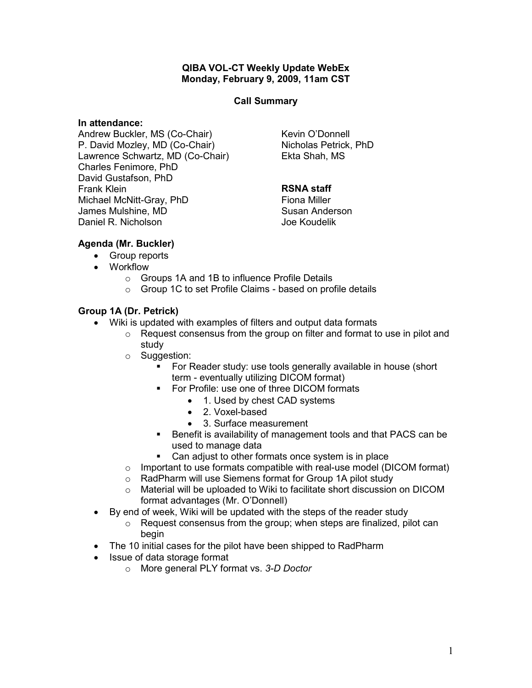## QIBA VOL-CT Weekly Update WebEx Monday, February 9, 2009, 11am CST

## Call Summary

### In attendance:

Andrew Buckler, MS (Co-Chair) P. David Mozley, MD (Co-Chair) Lawrence Schwartz, MD (Co-Chair) Charles Fenimore, PhD David Gustafson, PhD Frank Klein Michael McNitt-Gray, PhD James Mulshine, MD Daniel R. Nicholson

Kevin O'Donnell Nicholas Petrick, PhD Ekta Shah, MS

# RSNA staff

Fiona Miller Susan Anderson Joe Koudelik

# Agenda (Mr. Buckler)

- Group reports
- Workflow
	- o Groups 1A and 1B to influence Profile Details
	- o Group 1C to set Profile Claims based on profile details

# Group 1A (Dr. Petrick)

- Wiki is updated with examples of filters and output data formats
	- o Request consensus from the group on filter and format to use in pilot and study
	- o Suggestion:
		- For Reader study: use tools generally available in house (short term - eventually utilizing DICOM format)
		- For Profile: use one of three DICOM formats
			- 1. Used by chest CAD systems
			- 2. Voxel-based
			- 3. Surface measurement
		- Benefit is availability of management tools and that PACS can be used to manage data
		- Can adjust to other formats once system is in place
	- $\circ$  Important to use formats compatible with real-use model (DICOM format)
	- o RadPharm will use Siemens format for Group 1A pilot study
	- o Material will be uploaded to Wiki to facilitate short discussion on DICOM format advantages (Mr. O'Donnell)
- By end of week, Wiki will be updated with the steps of the reader study
	- o Request consensus from the group; when steps are finalized, pilot can begin
- The 10 initial cases for the pilot have been shipped to RadPharm
- Issue of data storage format
	- o More general PLY format vs. 3-D Doctor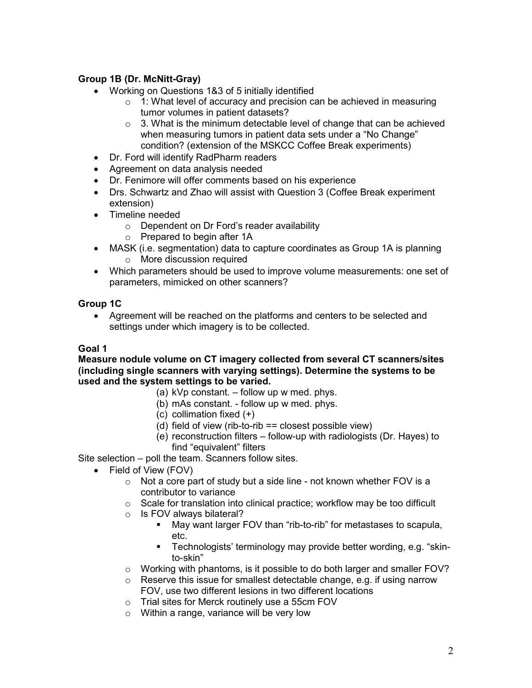# Group 1B (Dr. McNitt-Gray)

- Working on Questions 1&3 of 5 initially identified
	- $\circ$  1: What level of accuracy and precision can be achieved in measuring tumor volumes in patient datasets?
	- $\circ$  3. What is the minimum detectable level of change that can be achieved when measuring tumors in patient data sets under a "No Change" condition? (extension of the MSKCC Coffee Break experiments)
- Dr. Ford will identify RadPharm readers
- Agreement on data analysis needed
- Dr. Fenimore will offer comments based on his experience
- Drs. Schwartz and Zhao will assist with Question 3 (Coffee Break experiment extension)
- Timeline needed
	- o Dependent on Dr Ford's reader availability
	- o Prepared to begin after 1A
- MASK (i.e. segmentation) data to capture coordinates as Group 1A is planning o More discussion required
- Which parameters should be used to improve volume measurements: one set of parameters, mimicked on other scanners?

## Group 1C

• Agreement will be reached on the platforms and centers to be selected and settings under which imagery is to be collected.

## Goal 1

### Measure nodule volume on CT imagery collected from several CT scanners/sites (including single scanners with varying settings). Determine the systems to be used and the system settings to be varied.

- (a) kVp constant. follow up w med. phys.
- (b) mAs constant. follow up w med. phys.
- (c) collimation fixed (+)
- (d) field of view (rib-to-rib == closest possible view)
- (e) reconstruction filters follow-up with radiologists (Dr. Hayes) to find "equivalent" filters

Site selection – poll the team. Scanners follow sites.

- Field of View (FOV)
	- $\circ$  Not a core part of study but a side line not known whether FOV is a contributor to variance
	- o Scale for translation into clinical practice; workflow may be too difficult
	- o Is FOV always bilateral?
		- May want larger FOV than "rib-to-rib" for metastases to scapula, etc.
		- Technologists' terminology may provide better wording, e.g. "skinto-skin"
	- o Working with phantoms, is it possible to do both larger and smaller FOV?
	- $\circ$  Reserve this issue for smallest detectable change, e.g. if using narrow FOV, use two different lesions in two different locations
	- o Trial sites for Merck routinely use a 55cm FOV
	- o Within a range, variance will be very low